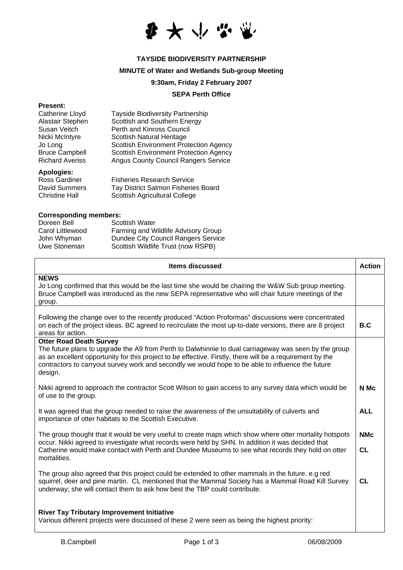

# **TAYSIDE BIODIVERSITY PARTNERSHIP**

## **MINUTE of Water and Wetlands Sub-group Meeting**

## **9:30am, Friday 2 February 2007**

# **SEPA Perth Office**

### **Present:**

| Catherine Lloyd        | <b>Tayside Biodiversity Partnership</b>       |
|------------------------|-----------------------------------------------|
| Alastair Stephen       | Scottish and Southern Energy                  |
| Susan Veitch           | Perth and Kinross Council                     |
| Nicki McIntyre         | Scottish Natural Heritage                     |
| Jo Long                | <b>Scottish Environment Protection Agency</b> |
| <b>Bruce Campbell</b>  | <b>Scottish Environment Protection Agency</b> |
| <b>Richard Averiss</b> | <b>Angus County Council Rangers Service</b>   |
|                        |                                               |

## **Apologies:**

| Ross Gardiner         | <b>Fisheries Research Service</b>   |
|-----------------------|-------------------------------------|
| David Summers         | Tay District Salmon Fisheries Board |
| <b>Christine Hall</b> | Scottish Agricultural College       |

#### **Corresponding members:**

| Doreen Bell      | <b>Scottish Water</b>               |
|------------------|-------------------------------------|
| Carol Littlewood | Farming and Wildlife Advisory Group |
| John Whyman      | Dundee City Council Rangers Service |
| Uwe Stoneman     | Scottish Wildlife Trust (now RSPB)  |

| <b>Items discussed</b>                                                                                                                                                                                                                                                                                                                                               |                         |
|----------------------------------------------------------------------------------------------------------------------------------------------------------------------------------------------------------------------------------------------------------------------------------------------------------------------------------------------------------------------|-------------------------|
| <b>NEWS</b><br>Jo Long confirmed that this would be the last time she would be chairing the W&W Sub group meeting.<br>Bruce Campbell was introduced as the new SEPA representative who will chair future meetings of the<br>group.                                                                                                                                   |                         |
| Following the change over to the recently produced "Action Proformas" discussions were concentrated<br>on each of the project ideas. BC agreed to recirculate the most up-to-date versions, there are 8 project<br>areas for action.                                                                                                                                 | B.C                     |
| <b>Otter Road Death Survey</b><br>The future plans to upgrade the A9 from Perth to Dalwhinnie to dual carriageway was seen by the group<br>as an excellent opportunity for this project to be effective. Firstly, there will be a requirement by the<br>contractors to carryout survey work and secondly we would hope to be able to influence the future<br>design. |                         |
| Nikki agreed to approach the contractor Scott Wilson to gain access to any survey data which would be<br>of use to the group.                                                                                                                                                                                                                                        | N Mc                    |
| It was agreed that the group needed to raise the awareness of the unsuitability of culverts and<br>importance of otter habitats to the Scottish Executive.                                                                                                                                                                                                           | <b>ALL</b>              |
| The group thought that it would be very useful to create maps which show where otter mortality hotspots<br>occur. Nikki agreed to investigate what records were held by SHN. In addition it was decided that<br>Catherine would make contact with Perth and Dundee Museums to see what records they hold on otter<br>mortalities.                                    | <b>NMc</b><br><b>CL</b> |
| The group also agreed that this project could be extended to other mammals in the future. e.g red<br>squirrel, deer and pine martin. CL mentioned that the Mammal Society has a Mammal Road Kill Survey<br>underway; she will contact them to ask how best the TBP could contribute.                                                                                 | <b>CL</b>               |
| <b>River Tay Tributary Improvement Initiative</b><br>Various different projects were discussed of these 2 were seen as being the highest priority:                                                                                                                                                                                                                   |                         |